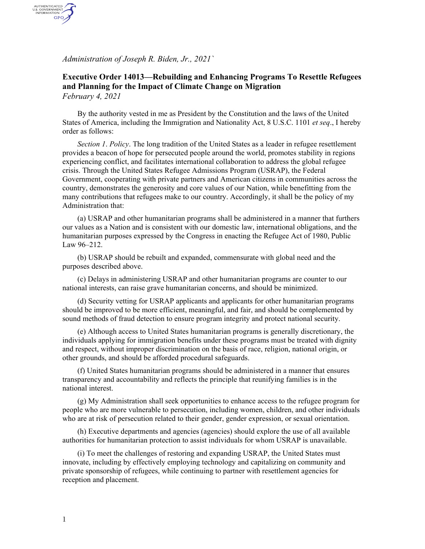*Administration of Joseph R. Biden, Jr., 2021`*

AUTHENTICATED<br>U.S. GOVERNMENT<br>INFORMATION GPO

## **Executive Order 14013—Rebuilding and Enhancing Programs To Resettle Refugees and Planning for the Impact of Climate Change on Migration** *February 4, 2021*

By the authority vested in me as President by the Constitution and the laws of the United States of America, including the Immigration and Nationality Act, 8 U.S.C. 1101 *et seq*., I hereby order as follows:

*Section 1*. *Policy*. The long tradition of the United States as a leader in refugee resettlement provides a beacon of hope for persecuted people around the world, promotes stability in regions experiencing conflict, and facilitates international collaboration to address the global refugee crisis. Through the United States Refugee Admissions Program (USRAP), the Federal Government, cooperating with private partners and American citizens in communities across the country, demonstrates the generosity and core values of our Nation, while benefitting from the many contributions that refugees make to our country. Accordingly, it shall be the policy of my Administration that:

(a) USRAP and other humanitarian programs shall be administered in a manner that furthers our values as a Nation and is consistent with our domestic law, international obligations, and the humanitarian purposes expressed by the Congress in enacting the Refugee Act of 1980, Public Law 96–212.

(b) USRAP should be rebuilt and expanded, commensurate with global need and the purposes described above.

(c) Delays in administering USRAP and other humanitarian programs are counter to our national interests, can raise grave humanitarian concerns, and should be minimized.

(d) Security vetting for USRAP applicants and applicants for other humanitarian programs should be improved to be more efficient, meaningful, and fair, and should be complemented by sound methods of fraud detection to ensure program integrity and protect national security.

(e) Although access to United States humanitarian programs is generally discretionary, the individuals applying for immigration benefits under these programs must be treated with dignity and respect, without improper discrimination on the basis of race, religion, national origin, or other grounds, and should be afforded procedural safeguards.

(f) United States humanitarian programs should be administered in a manner that ensures transparency and accountability and reflects the principle that reunifying families is in the national interest.

(g) My Administration shall seek opportunities to enhance access to the refugee program for people who are more vulnerable to persecution, including women, children, and other individuals who are at risk of persecution related to their gender, gender expression, or sexual orientation.

(h) Executive departments and agencies (agencies) should explore the use of all available authorities for humanitarian protection to assist individuals for whom USRAP is unavailable.

(i) To meet the challenges of restoring and expanding USRAP, the United States must innovate, including by effectively employing technology and capitalizing on community and private sponsorship of refugees, while continuing to partner with resettlement agencies for reception and placement.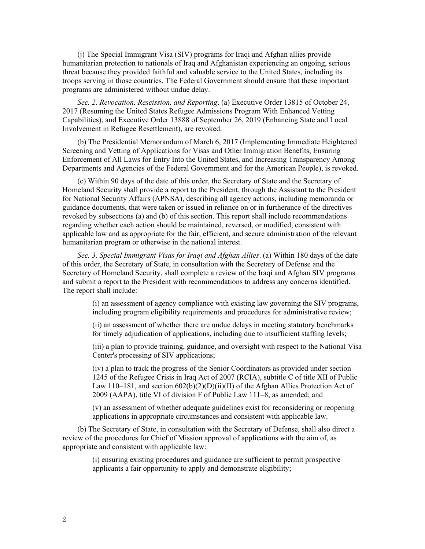(j) The Special Immigrant Visa (SIV) programs for Iraqi and Afghan allies provide humanitarian protection to nationals of Iraq and Afghanistan experiencing an ongoing, serious threat because they provided faithful and valuable service to the United States, including its troops serving in those countries. The Federal Government should ensure that these important programs are administered without undue delay.

*Sec. 2*. *Revocation, Rescission, and Reporting*. (a) Executive Order 13815 of October 24, 2017 (Resuming the United States Refugee Admissions Program With Enhanced Vetting Capabilities), and Executive Order 13888 of September 26, 2019 (Enhancing State and Local Involvement in Refugee Resettlement), are revoked.

(b) The Presidential Memorandum of March 6, 2017 (Implementing Immediate Heightened Screening and Vetting of Applications for Visas and Other Immigration Benefits, Ensuring Enforcement of All Laws for Entry Into the United States, and Increasing Transparency Among Departments and Agencies of the Federal Government and for the American People), is revoked.

(c) Within 90 days of the date of this order, the Secretary of State and the Secretary of Homeland Security shall provide a report to the President, through the Assistant to the President for National Security Affairs (APNSA), describing all agency actions, including memoranda or guidance documents, that were taken or issued in reliance on or in furtherance of the directives revoked by subsections (a) and (b) of this section. This report shall include recommendations regarding whether each action should be maintained, reversed, or modified, consistent with applicable law and as appropriate for the fair, efficient, and secure administration of the relevant humanitarian program or otherwise in the national interest.

*Sec. 3*. *Special Immigrant Visas for Iraqi and Afghan Allies*. (a) Within 180 days of the date of this order, the Secretary of State, in consultation with the Secretary of Defense and the Secretary of Homeland Security, shall complete a review of the Iraqi and Afghan SIV programs and submit a report to the President with recommendations to address any concerns identified. The report shall include:

(i) an assessment of agency compliance with existing law governing the SIV programs, including program eligibility requirements and procedures for administrative review;

(ii) an assessment of whether there are undue delays in meeting statutory benchmarks for timely adjudication of applications, including due to insufficient staffing levels;

(iii) a plan to provide training, guidance, and oversight with respect to the National Visa Center's processing of SIV applications;

(iv) a plan to track the progress of the Senior Coordinators as provided under section 1245 of the Refugee Crisis in Iraq Act of 2007 (RCIA), subtitle C of title XII of Public Law 110–181, and section 602(b)(2)(D)(ii)(II) of the Afghan Allies Protection Act of 2009 (AAPA), title VI of division F of Public Law 111–8, as amended; and

(v) an assessment of whether adequate guidelines exist for reconsidering or reopening applications in appropriate circumstances and consistent with applicable law.

(b) The Secretary of State, in consultation with the Secretary of Defense, shall also direct a review of the procedures for Chief of Mission approval of applications with the aim of, as appropriate and consistent with applicable law:

> (i) ensuring existing procedures and guidance are sufficient to permit prospective applicants a fair opportunity to apply and demonstrate eligibility;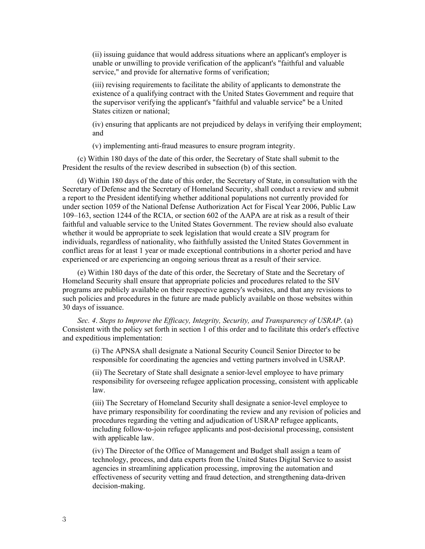(ii) issuing guidance that would address situations where an applicant's employer is unable or unwilling to provide verification of the applicant's "faithful and valuable service," and provide for alternative forms of verification;

(iii) revising requirements to facilitate the ability of applicants to demonstrate the existence of a qualifying contract with the United States Government and require that the supervisor verifying the applicant's "faithful and valuable service" be a United States citizen or national;

(iv) ensuring that applicants are not prejudiced by delays in verifying their employment; and

(v) implementing anti-fraud measures to ensure program integrity.

(c) Within 180 days of the date of this order, the Secretary of State shall submit to the President the results of the review described in subsection (b) of this section.

(d) Within 180 days of the date of this order, the Secretary of State, in consultation with the Secretary of Defense and the Secretary of Homeland Security, shall conduct a review and submit a report to the President identifying whether additional populations not currently provided for under section 1059 of the National Defense Authorization Act for Fiscal Year 2006, Public Law 109–163, section 1244 of the RCIA, or section 602 of the AAPA are at risk as a result of their faithful and valuable service to the United States Government. The review should also evaluate whether it would be appropriate to seek legislation that would create a SIV program for individuals, regardless of nationality, who faithfully assisted the United States Government in conflict areas for at least 1 year or made exceptional contributions in a shorter period and have experienced or are experiencing an ongoing serious threat as a result of their service.

(e) Within 180 days of the date of this order, the Secretary of State and the Secretary of Homeland Security shall ensure that appropriate policies and procedures related to the SIV programs are publicly available on their respective agency's websites, and that any revisions to such policies and procedures in the future are made publicly available on those websites within 30 days of issuance.

*Sec. 4*. *Steps to Improve the Efficacy, Integrity, Security, and Transparency of USRAP*. (a) Consistent with the policy set forth in section 1 of this order and to facilitate this order's effective and expeditious implementation:

> (i) The APNSA shall designate a National Security Council Senior Director to be responsible for coordinating the agencies and vetting partners involved in USRAP.

(ii) The Secretary of State shall designate a senior-level employee to have primary responsibility for overseeing refugee application processing, consistent with applicable law.

(iii) The Secretary of Homeland Security shall designate a senior-level employee to have primary responsibility for coordinating the review and any revision of policies and procedures regarding the vetting and adjudication of USRAP refugee applicants, including follow-to-join refugee applicants and post-decisional processing, consistent with applicable law.

(iv) The Director of the Office of Management and Budget shall assign a team of technology, process, and data experts from the United States Digital Service to assist agencies in streamlining application processing, improving the automation and effectiveness of security vetting and fraud detection, and strengthening data-driven decision-making.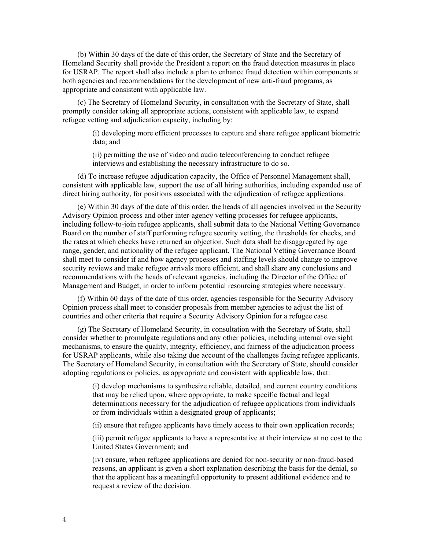(b) Within 30 days of the date of this order, the Secretary of State and the Secretary of Homeland Security shall provide the President a report on the fraud detection measures in place for USRAP. The report shall also include a plan to enhance fraud detection within components at both agencies and recommendations for the development of new anti-fraud programs, as appropriate and consistent with applicable law.

(c) The Secretary of Homeland Security, in consultation with the Secretary of State, shall promptly consider taking all appropriate actions, consistent with applicable law, to expand refugee vetting and adjudication capacity, including by:

> (i) developing more efficient processes to capture and share refugee applicant biometric data; and

(ii) permitting the use of video and audio teleconferencing to conduct refugee interviews and establishing the necessary infrastructure to do so.

(d) To increase refugee adjudication capacity, the Office of Personnel Management shall, consistent with applicable law, support the use of all hiring authorities, including expanded use of direct hiring authority, for positions associated with the adjudication of refugee applications.

(e) Within 30 days of the date of this order, the heads of all agencies involved in the Security Advisory Opinion process and other inter-agency vetting processes for refugee applicants, including follow-to-join refugee applicants, shall submit data to the National Vetting Governance Board on the number of staff performing refugee security vetting, the thresholds for checks, and the rates at which checks have returned an objection. Such data shall be disaggregated by age range, gender, and nationality of the refugee applicant. The National Vetting Governance Board shall meet to consider if and how agency processes and staffing levels should change to improve security reviews and make refugee arrivals more efficient, and shall share any conclusions and recommendations with the heads of relevant agencies, including the Director of the Office of Management and Budget, in order to inform potential resourcing strategies where necessary.

(f) Within 60 days of the date of this order, agencies responsible for the Security Advisory Opinion process shall meet to consider proposals from member agencies to adjust the list of countries and other criteria that require a Security Advisory Opinion for a refugee case.

(g) The Secretary of Homeland Security, in consultation with the Secretary of State, shall consider whether to promulgate regulations and any other policies, including internal oversight mechanisms, to ensure the quality, integrity, efficiency, and fairness of the adjudication process for USRAP applicants, while also taking due account of the challenges facing refugee applicants. The Secretary of Homeland Security, in consultation with the Secretary of State, should consider adopting regulations or policies, as appropriate and consistent with applicable law, that:

(i) develop mechanisms to synthesize reliable, detailed, and current country conditions that may be relied upon, where appropriate, to make specific factual and legal determinations necessary for the adjudication of refugee applications from individuals or from individuals within a designated group of applicants;

(ii) ensure that refugee applicants have timely access to their own application records;

(iii) permit refugee applicants to have a representative at their interview at no cost to the United States Government; and

(iv) ensure, when refugee applications are denied for non-security or non-fraud-based reasons, an applicant is given a short explanation describing the basis for the denial, so that the applicant has a meaningful opportunity to present additional evidence and to request a review of the decision.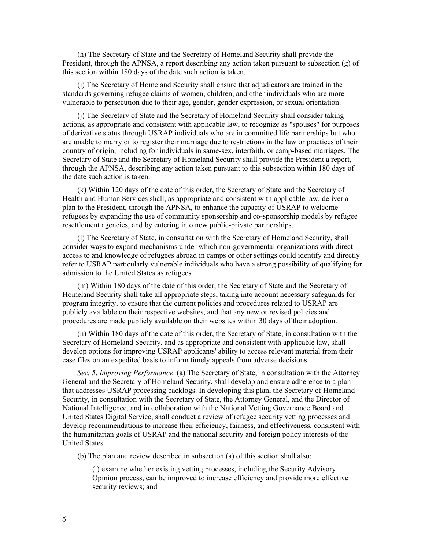(h) The Secretary of State and the Secretary of Homeland Security shall provide the President, through the APNSA, a report describing any action taken pursuant to subsection (g) of this section within 180 days of the date such action is taken.

(i) The Secretary of Homeland Security shall ensure that adjudicators are trained in the standards governing refugee claims of women, children, and other individuals who are more vulnerable to persecution due to their age, gender, gender expression, or sexual orientation.

(j) The Secretary of State and the Secretary of Homeland Security shall consider taking actions, as appropriate and consistent with applicable law, to recognize as "spouses" for purposes of derivative status through USRAP individuals who are in committed life partnerships but who are unable to marry or to register their marriage due to restrictions in the law or practices of their country of origin, including for individuals in same-sex, interfaith, or camp-based marriages. The Secretary of State and the Secretary of Homeland Security shall provide the President a report, through the APNSA, describing any action taken pursuant to this subsection within 180 days of the date such action is taken.

(k) Within 120 days of the date of this order, the Secretary of State and the Secretary of Health and Human Services shall, as appropriate and consistent with applicable law, deliver a plan to the President, through the APNSA, to enhance the capacity of USRAP to welcome refugees by expanding the use of community sponsorship and co-sponsorship models by refugee resettlement agencies, and by entering into new public-private partnerships.

(l) The Secretary of State, in consultation with the Secretary of Homeland Security, shall consider ways to expand mechanisms under which non-governmental organizations with direct access to and knowledge of refugees abroad in camps or other settings could identify and directly refer to USRAP particularly vulnerable individuals who have a strong possibility of qualifying for admission to the United States as refugees.

(m) Within 180 days of the date of this order, the Secretary of State and the Secretary of Homeland Security shall take all appropriate steps, taking into account necessary safeguards for program integrity, to ensure that the current policies and procedures related to USRAP are publicly available on their respective websites, and that any new or revised policies and procedures are made publicly available on their websites within 30 days of their adoption.

(n) Within 180 days of the date of this order, the Secretary of State, in consultation with the Secretary of Homeland Security, and as appropriate and consistent with applicable law, shall develop options for improving USRAP applicants' ability to access relevant material from their case files on an expedited basis to inform timely appeals from adverse decisions.

*Sec. 5*. *Improving Performance*. (a) The Secretary of State, in consultation with the Attorney General and the Secretary of Homeland Security, shall develop and ensure adherence to a plan that addresses USRAP processing backlogs. In developing this plan, the Secretary of Homeland Security, in consultation with the Secretary of State, the Attorney General, and the Director of National Intelligence, and in collaboration with the National Vetting Governance Board and United States Digital Service, shall conduct a review of refugee security vetting processes and develop recommendations to increase their efficiency, fairness, and effectiveness, consistent with the humanitarian goals of USRAP and the national security and foreign policy interests of the United States.

(b) The plan and review described in subsection (a) of this section shall also:

(i) examine whether existing vetting processes, including the Security Advisory Opinion process, can be improved to increase efficiency and provide more effective security reviews; and